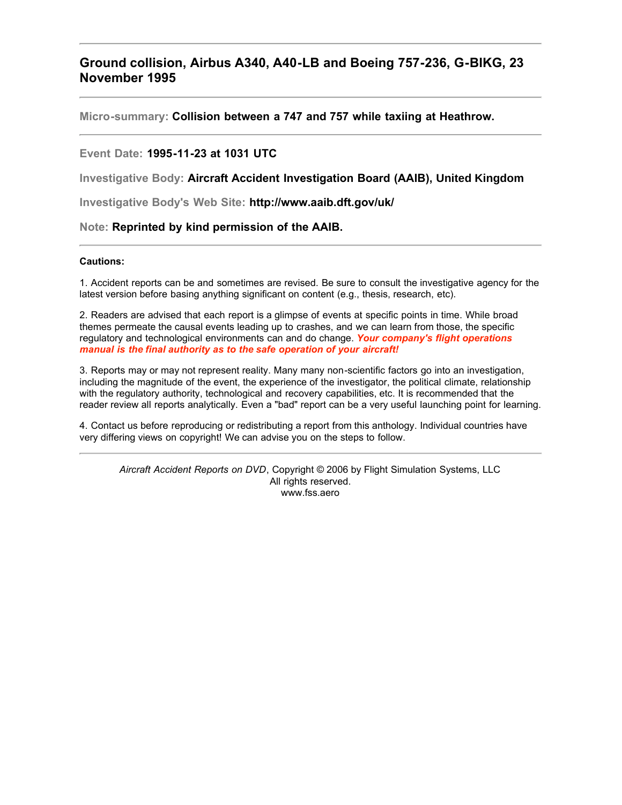# **Ground collision, Airbus A340, A40-LB and Boeing 757-236, G-BIKG, 23 November 1995**

**Micro-summary: Collision between a 747 and 757 while taxiing at Heathrow.**

### **Event Date: 1995-11-23 at 1031 UTC**

**Investigative Body: Aircraft Accident Investigation Board (AAIB), United Kingdom**

**Investigative Body's Web Site: http://www.aaib.dft.gov/uk/**

#### **Note: Reprinted by kind permission of the AAIB.**

#### **Cautions:**

1. Accident reports can be and sometimes are revised. Be sure to consult the investigative agency for the latest version before basing anything significant on content (e.g., thesis, research, etc).

2. Readers are advised that each report is a glimpse of events at specific points in time. While broad themes permeate the causal events leading up to crashes, and we can learn from those, the specific regulatory and technological environments can and do change. *Your company's flight operations manual is the final authority as to the safe operation of your aircraft!*

3. Reports may or may not represent reality. Many many non-scientific factors go into an investigation, including the magnitude of the event, the experience of the investigator, the political climate, relationship with the regulatory authority, technological and recovery capabilities, etc. It is recommended that the reader review all reports analytically. Even a "bad" report can be a very useful launching point for learning.

4. Contact us before reproducing or redistributing a report from this anthology. Individual countries have very differing views on copyright! We can advise you on the steps to follow.

*Aircraft Accident Reports on DVD*, Copyright © 2006 by Flight Simulation Systems, LLC All rights reserved. www.fss.aero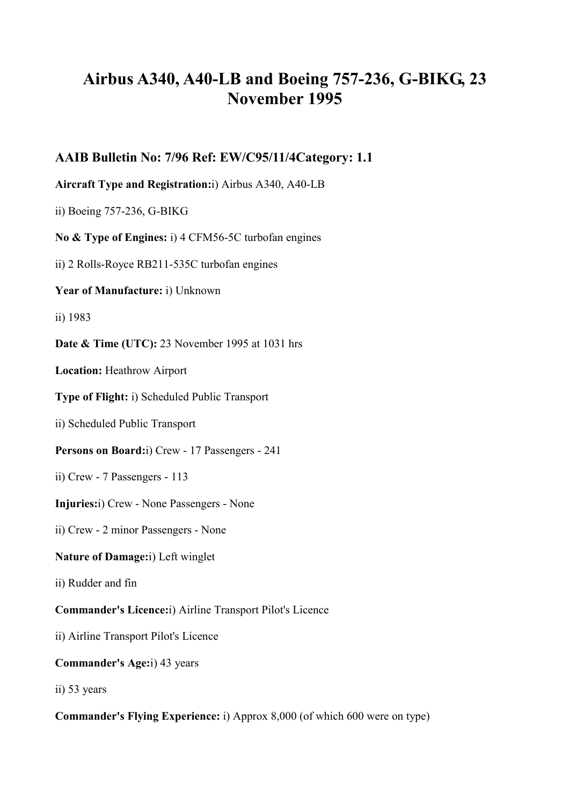# **Airbus A340, A40-LB and Boeing 757-236, G-BIKG, 23 November 1995**

**AAIB Bulletin No: 7/96 Ref: EW/C95/11/4Category: 1.1** 

**Aircraft Type and Registration:**i) Airbus A340, A40-LB

ii) Boeing 757-236, G-BIKG

**No & Type of Engines:** i) 4 CFM56-5C turbofan engines

ii) 2 Rolls-Royce RB211-535C turbofan engines

**Year of Manufacture:** i) Unknown

ii) 1983

**Date & Time (UTC):** 23 November 1995 at 1031 hrs

**Location:** Heathrow Airport

**Type of Flight:** i) Scheduled Public Transport

ii) Scheduled Public Transport

**Persons on Board:**i) Crew - 17 Passengers - 241

ii) Crew - 7 Passengers - 113

**Injuries:**i) Crew - None Passengers - None

ii) Crew - 2 minor Passengers - None

## **Nature of Damage:**i) Left winglet

ii) Rudder and fin

**Commander's Licence:**i) Airline Transport Pilot's Licence

ii) Airline Transport Pilot's Licence

**Commander's Age:**i) 43 years

ii) 53 years

**Commander's Flying Experience:** i) Approx 8,000 (of which 600 were on type)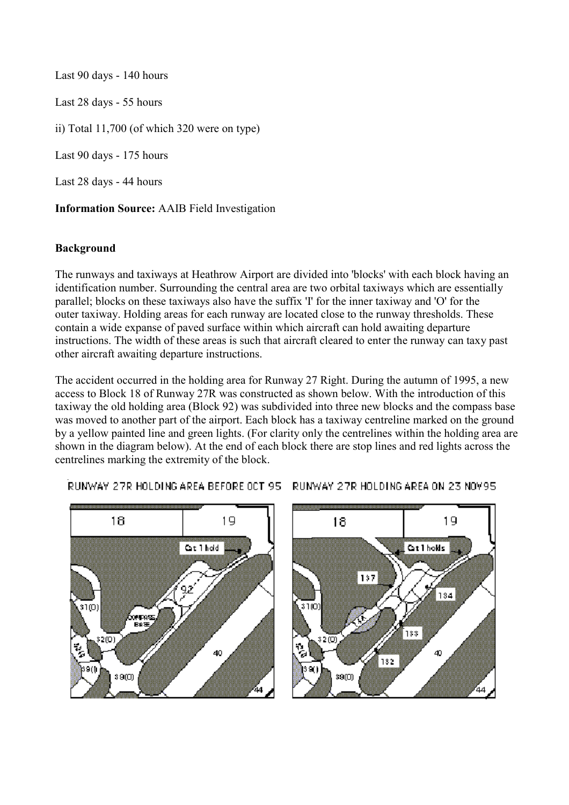Last 90 days - 140 hours Last 28 days - 55 hours ii) Total 11,700 (of which 320 were on type) Last 90 days - 175 hours Last 28 days - 44 hours

**Information Source:** AAIB Field Investigation

# **Background**

The runways and taxiways at Heathrow Airport are divided into 'blocks' with each block having an identification number. Surrounding the central area are two orbital taxiways which are essentially parallel; blocks on these taxiways also have the suffix 'I' for the inner taxiway and 'O' for the outer taxiway. Holding areas for each runway are located close to the runway thresholds. These contain a wide expanse of paved surface within which aircraft can hold awaiting departure instructions. The width of these areas is such that aircraft cleared to enter the runway can taxy past other aircraft awaiting departure instructions.

The accident occurred in the holding area for Runway 27 Right. During the autumn of 1995, a new access to Block 18 of Runway 27R was constructed as shown below. With the introduction of this taxiway the old holding area (Block 92) was subdivided into three new blocks and the compass base was moved to another part of the airport. Each block has a taxiway centreline marked on the ground by a yellow painted line and green lights. (For clarity only the centrelines within the holding area are shown in the diagram below). At the end of each block there are stop lines and red lights across the centrelines marking the extremity of the block.



RUNWAY 27R HOLDING AREA BEFORE OCT 95 RUNWAY 27R HOLDING AREA ON 23 NOV95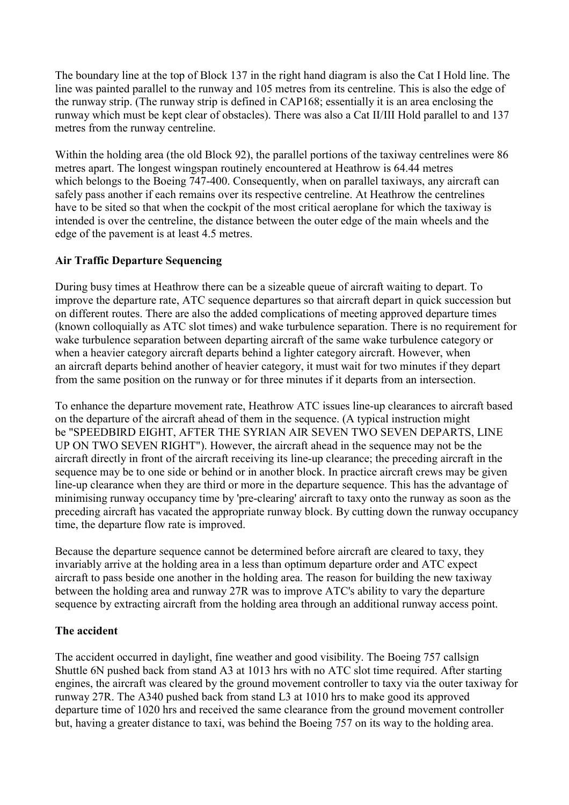The boundary line at the top of Block 137 in the right hand diagram is also the Cat I Hold line. The line was painted parallel to the runway and 105 metres from its centreline. This is also the edge of the runway strip. (The runway strip is defined in CAP168; essentially it is an area enclosing the runway which must be kept clear of obstacles). There was also a Cat II/III Hold parallel to and 137 metres from the runway centreline.

Within the holding area (the old Block 92), the parallel portions of the taxiway centrelines were 86 metres apart. The longest wingspan routinely encountered at Heathrow is 64.44 metres which belongs to the Boeing 747-400. Consequently, when on parallel taxiways, any aircraft can safely pass another if each remains over its respective centreline. At Heathrow the centrelines have to be sited so that when the cockpit of the most critical aeroplane for which the taxiway is intended is over the centreline, the distance between the outer edge of the main wheels and the edge of the pavement is at least 4.5 metres.

## **Air Traffic Departure Sequencing**

During busy times at Heathrow there can be a sizeable queue of aircraft waiting to depart. To improve the departure rate, ATC sequence departures so that aircraft depart in quick succession but on different routes. There are also the added complications of meeting approved departure times (known colloquially as ATC slot times) and wake turbulence separation. There is no requirement for wake turbulence separation between departing aircraft of the same wake turbulence category or when a heavier category aircraft departs behind a lighter category aircraft. However, when an aircraft departs behind another of heavier category, it must wait for two minutes if they depart from the same position on the runway or for three minutes if it departs from an intersection.

To enhance the departure movement rate, Heathrow ATC issues line-up clearances to aircraft based on the departure of the aircraft ahead of them in the sequence. (A typical instruction might be "SPEEDBIRD EIGHT, AFTER THE SYRIAN AIR SEVEN TWO SEVEN DEPARTS, LINE UP ON TWO SEVEN RIGHT"). However, the aircraft ahead in the sequence may not be the aircraft directly in front of the aircraft receiving its line-up clearance; the preceding aircraft in the sequence may be to one side or behind or in another block. In practice aircraft crews may be given line-up clearance when they are third or more in the departure sequence. This has the advantage of minimising runway occupancy time by 'pre-clearing' aircraft to taxy onto the runway as soon as the preceding aircraft has vacated the appropriate runway block. By cutting down the runway occupancy time, the departure flow rate is improved.

Because the departure sequence cannot be determined before aircraft are cleared to taxy, they invariably arrive at the holding area in a less than optimum departure order and ATC expect aircraft to pass beside one another in the holding area. The reason for building the new taxiway between the holding area and runway 27R was to improve ATC's ability to vary the departure sequence by extracting aircraft from the holding area through an additional runway access point.

## **The accident**

The accident occurred in daylight, fine weather and good visibility. The Boeing 757 callsign Shuttle 6N pushed back from stand A3 at 1013 hrs with no ATC slot time required. After starting engines, the aircraft was cleared by the ground movement controller to taxy via the outer taxiway for runway 27R. The A340 pushed back from stand L3 at 1010 hrs to make good its approved departure time of 1020 hrs and received the same clearance from the ground movement controller but, having a greater distance to taxi, was behind the Boeing 757 on its way to the holding area.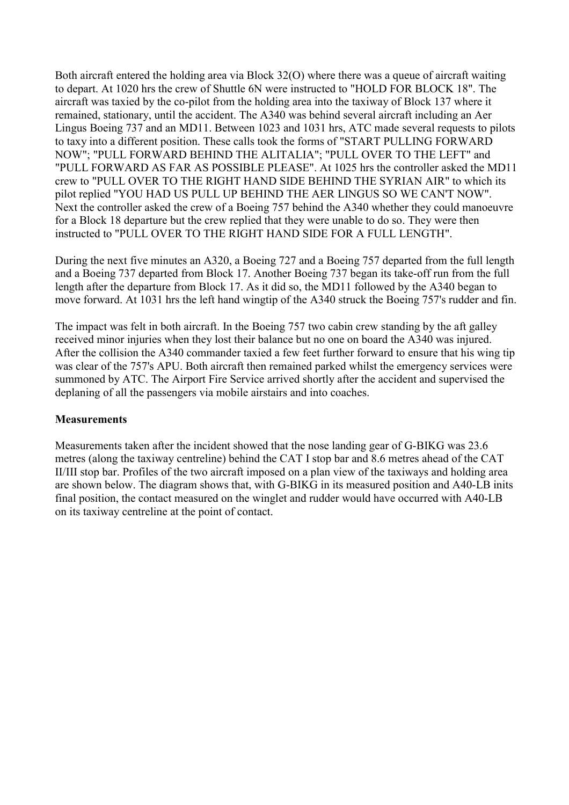Both aircraft entered the holding area via Block 32(O) where there was a queue of aircraft waiting to depart. At 1020 hrs the crew of Shuttle 6N were instructed to "HOLD FOR BLOCK 18". The aircraft was taxied by the co-pilot from the holding area into the taxiway of Block 137 where it remained, stationary, until the accident. The A340 was behind several aircraft including an Aer Lingus Boeing 737 and an MD11. Between 1023 and 1031 hrs, ATC made several requests to pilots to taxy into a different position. These calls took the forms of "START PULLING FORWARD NOW"; "PULL FORWARD BEHIND THE ALITALIA"; "PULL OVER TO THE LEFT" and "PULL FORWARD AS FAR AS POSSIBLE PLEASE". At 1025 hrs the controller asked the MD11 crew to "PULL OVER TO THE RIGHT HAND SIDE BEHIND THE SYRIAN AIR" to which its pilot replied "YOU HAD US PULL UP BEHIND THE AER LINGUS SO WE CAN'T NOW". Next the controller asked the crew of a Boeing 757 behind the A340 whether they could manoeuvre for a Block 18 departure but the crew replied that they were unable to do so. They were then instructed to "PULL OVER TO THE RIGHT HAND SIDE FOR A FULL LENGTH".

During the next five minutes an A320, a Boeing 727 and a Boeing 757 departed from the full length and a Boeing 737 departed from Block 17. Another Boeing 737 began its take-off run from the full length after the departure from Block 17. As it did so, the MD11 followed by the A340 began to move forward. At 1031 hrs the left hand wingtip of the A340 struck the Boeing 757's rudder and fin.

The impact was felt in both aircraft. In the Boeing 757 two cabin crew standing by the aft galley received minor injuries when they lost their balance but no one on board the A340 was injured. After the collision the A340 commander taxied a few feet further forward to ensure that his wing tip was clear of the 757's APU. Both aircraft then remained parked whilst the emergency services were summoned by ATC. The Airport Fire Service arrived shortly after the accident and supervised the deplaning of all the passengers via mobile airstairs and into coaches.

## **Measurements**

Measurements taken after the incident showed that the nose landing gear of G-BIKG was 23.6 metres (along the taxiway centreline) behind the CAT I stop bar and 8.6 metres ahead of the CAT II/III stop bar. Profiles of the two aircraft imposed on a plan view of the taxiways and holding area are shown below. The diagram shows that, with G-BIKG in its measured position and A40-LB inits final position, the contact measured on the winglet and rudder would have occurred with A40-LB on its taxiway centreline at the point of contact.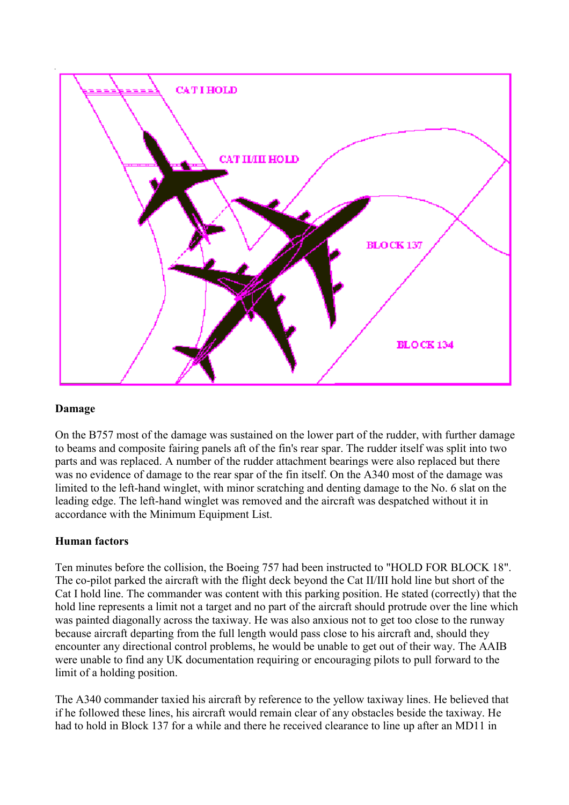

## **Damage**

On the B757 most of the damage was sustained on the lower part of the rudder, with further damage to beams and composite fairing panels aft of the fin's rear spar. The rudder itself was split into two parts and was replaced. A number of the rudder attachment bearings were also replaced but there was no evidence of damage to the rear spar of the fin itself. On the A340 most of the damage was limited to the left-hand winglet, with minor scratching and denting damage to the No. 6 slat on the leading edge. The left-hand winglet was removed and the aircraft was despatched without it in accordance with the Minimum Equipment List.

## **Human factors**

Ten minutes before the collision, the Boeing 757 had been instructed to "HOLD FOR BLOCK 18". The co-pilot parked the aircraft with the flight deck beyond the Cat II/III hold line but short of the Cat I hold line. The commander was content with this parking position. He stated (correctly) that the hold line represents a limit not a target and no part of the aircraft should protrude over the line which was painted diagonally across the taxiway. He was also anxious not to get too close to the runway because aircraft departing from the full length would pass close to his aircraft and, should they encounter any directional control problems, he would be unable to get out of their way. The AAIB were unable to find any UK documentation requiring or encouraging pilots to pull forward to the limit of a holding position.

The A340 commander taxied his aircraft by reference to the yellow taxiway lines. He believed that if he followed these lines, his aircraft would remain clear of any obstacles beside the taxiway. He had to hold in Block 137 for a while and there he received clearance to line up after an MD11 in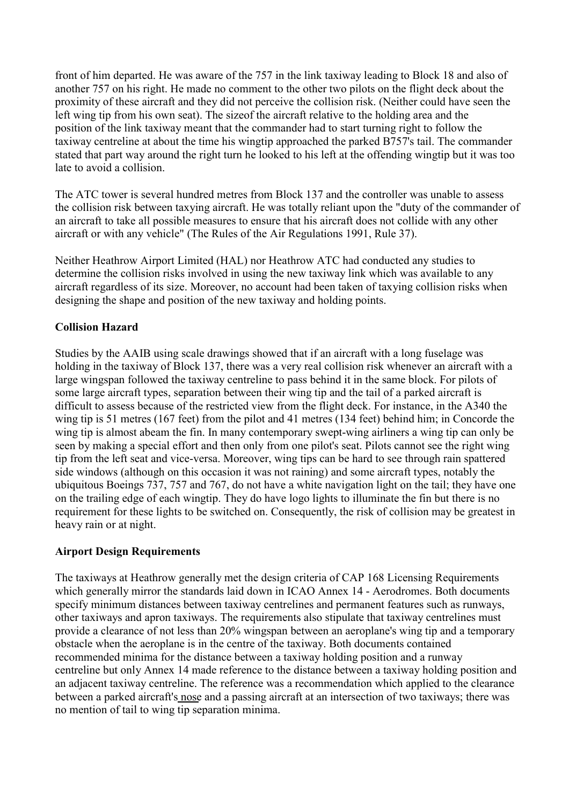front of him departed. He was aware of the 757 in the link taxiway leading to Block 18 and also of another 757 on his right. He made no comment to the other two pilots on the flight deck about the proximity of these aircraft and they did not perceive the collision risk. (Neither could have seen the left wing tip from his own seat). The sizeof the aircraft relative to the holding area and the position of the link taxiway meant that the commander had to start turning right to follow the taxiway centreline at about the time his wingtip approached the parked B757's tail. The commander stated that part way around the right turn he looked to his left at the offending wingtip but it was too late to avoid a collision.

The ATC tower is several hundred metres from Block 137 and the controller was unable to assess the collision risk between taxying aircraft. He was totally reliant upon the "duty of the commander of an aircraft to take all possible measures to ensure that his aircraft does not collide with any other aircraft or with any vehicle" (The Rules of the Air Regulations 1991, Rule 37).

Neither Heathrow Airport Limited (HAL) nor Heathrow ATC had conducted any studies to determine the collision risks involved in using the new taxiway link which was available to any aircraft regardless of its size. Moreover, no account had been taken of taxying collision risks when designing the shape and position of the new taxiway and holding points.

# **Collision Hazard**

Studies by the AAIB using scale drawings showed that if an aircraft with a long fuselage was holding in the taxiway of Block 137, there was a very real collision risk whenever an aircraft with a large wingspan followed the taxiway centreline to pass behind it in the same block. For pilots of some large aircraft types, separation between their wing tip and the tail of a parked aircraft is difficult to assess because of the restricted view from the flight deck. For instance, in the A340 the wing tip is 51 metres (167 feet) from the pilot and 41 metres (134 feet) behind him; in Concorde the wing tip is almost abeam the fin. In many contemporary swept-wing airliners a wing tip can only be seen by making a special effort and then only from one pilot's seat. Pilots cannot see the right wing tip from the left seat and vice-versa. Moreover, wing tips can be hard to see through rain spattered side windows (although on this occasion it was not raining) and some aircraft types, notably the ubiquitous Boeings 737, 757 and 767, do not have a white navigation light on the tail; they have one on the trailing edge of each wingtip. They do have logo lights to illuminate the fin but there is no requirement for these lights to be switched on. Consequently, the risk of collision may be greatest in heavy rain or at night.

## **Airport Design Requirements**

The taxiways at Heathrow generally met the design criteria of CAP 168 Licensing Requirements which generally mirror the standards laid down in ICAO Annex 14 - Aerodromes. Both documents specify minimum distances between taxiway centrelines and permanent features such as runways, other taxiways and apron taxiways. The requirements also stipulate that taxiway centrelines must provide a clearance of not less than 20% wingspan between an aeroplane's wing tip and a temporary obstacle when the aeroplane is in the centre of the taxiway. Both documents contained recommended minima for the distance between a taxiway holding position and a runway centreline but only Annex 14 made reference to the distance between a taxiway holding position and an adjacent taxiway centreline. The reference was a recommendation which applied to the clearance between a parked aircraft's nose and a passing aircraft at an intersection of two taxiways; there was no mention of tail to wing tip separation minima.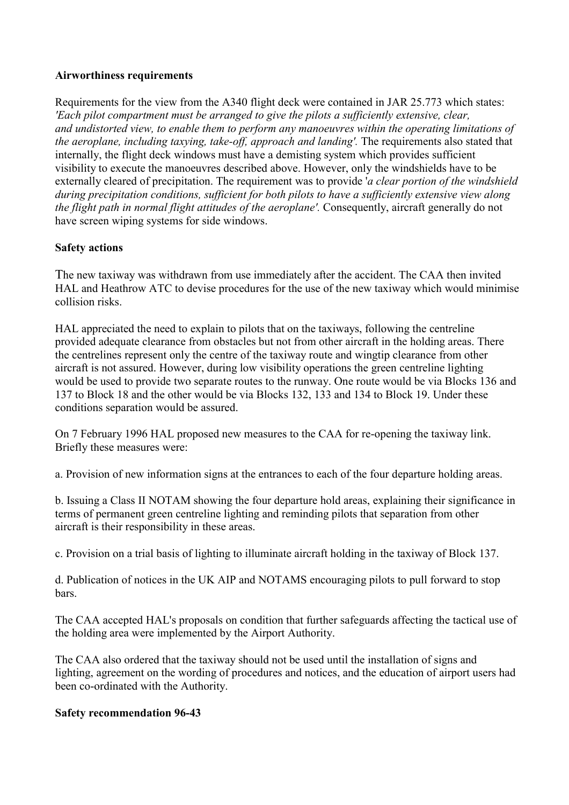## **Airworthiness requirements**

Requirements for the view from the A340 flight deck were contained in JAR 25.773 which states: *'Each pilot compartment must be arranged to give the pilots a sufficiently extensive, clear, and undistorted view, to enable them to perform any manoeuvres within the operating limitations of the aeroplane, including taxying, take-off, approach and landing'.* The requirements also stated that internally, the flight deck windows must have a demisting system which provides sufficient visibility to execute the manoeuvres described above. However, only the windshields have to be externally cleared of precipitation. The requirement was to provide '*a clear portion of the windshield during precipitation conditions, sufficient for both pilots to have a sufficiently extensive view along the flight path in normal flight attitudes of the aeroplane'.* Consequently, aircraft generally do not have screen wiping systems for side windows.

## **Safety actions**

The new taxiway was withdrawn from use immediately after the accident. The CAA then invited HAL and Heathrow ATC to devise procedures for the use of the new taxiway which would minimise collision risks.

HAL appreciated the need to explain to pilots that on the taxiways, following the centreline provided adequate clearance from obstacles but not from other aircraft in the holding areas. There the centrelines represent only the centre of the taxiway route and wingtip clearance from other aircraft is not assured. However, during low visibility operations the green centreline lighting would be used to provide two separate routes to the runway. One route would be via Blocks 136 and 137 to Block 18 and the other would be via Blocks 132, 133 and 134 to Block 19. Under these conditions separation would be assured.

On 7 February 1996 HAL proposed new measures to the CAA for re-opening the taxiway link. Briefly these measures were:

a. Provision of new information signs at the entrances to each of the four departure holding areas.

b. Issuing a Class II NOTAM showing the four departure hold areas, explaining their significance in terms of permanent green centreline lighting and reminding pilots that separation from other aircraft is their responsibility in these areas.

c. Provision on a trial basis of lighting to illuminate aircraft holding in the taxiway of Block 137.

d. Publication of notices in the UK AIP and NOTAMS encouraging pilots to pull forward to stop bars.

The CAA accepted HAL's proposals on condition that further safeguards affecting the tactical use of the holding area were implemented by the Airport Authority.

The CAA also ordered that the taxiway should not be used until the installation of signs and lighting, agreement on the wording of procedures and notices, and the education of airport users had been co-ordinated with the Authority.

## **Safety recommendation 96-43**